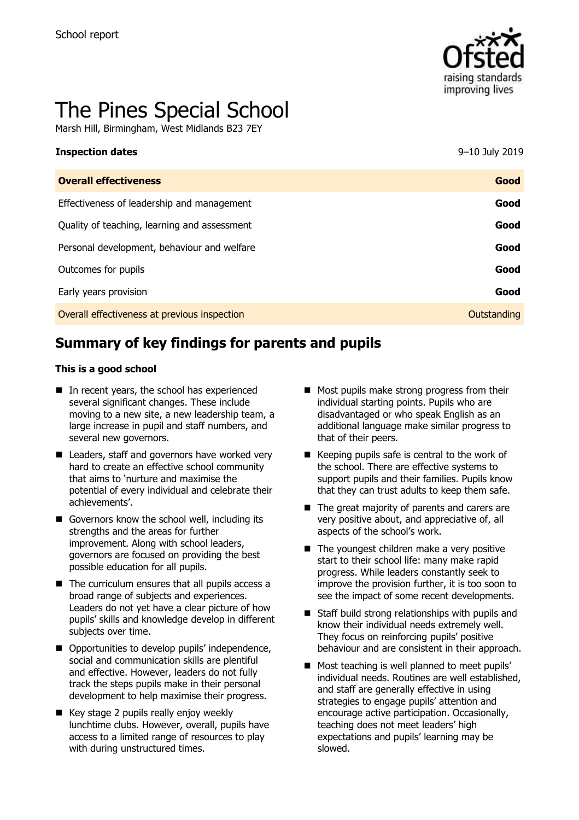

# The Pines Special School

Marsh Hill, Birmingham, West Midlands B23 7EY

| <b>Inspection dates</b>                      | 9-10 July 2019 |
|----------------------------------------------|----------------|
| <b>Overall effectiveness</b>                 | Good           |
| Effectiveness of leadership and management   | Good           |
| Quality of teaching, learning and assessment | Good           |
| Personal development, behaviour and welfare  | Good           |
| Outcomes for pupils                          | Good           |
| Early years provision                        | Good           |
| Overall effectiveness at previous inspection | Outstanding    |
|                                              |                |

# **Summary of key findings for parents and pupils**

#### **This is a good school**

- In recent years, the school has experienced several significant changes. These include moving to a new site, a new leadership team, a large increase in pupil and staff numbers, and several new governors.
- Leaders, staff and governors have worked very hard to create an effective school community that aims to 'nurture and maximise the potential of every individual and celebrate their achievements'.
- Governors know the school well, including its strengths and the areas for further improvement. Along with school leaders, governors are focused on providing the best possible education for all pupils.
- $\blacksquare$  The curriculum ensures that all pupils access a broad range of subjects and experiences. Leaders do not yet have a clear picture of how pupils' skills and knowledge develop in different subjects over time.
- Opportunities to develop pupils' independence, social and communication skills are plentiful and effective. However, leaders do not fully track the steps pupils make in their personal development to help maximise their progress.
- Key stage 2 pupils really enjoy weekly lunchtime clubs. However, overall, pupils have access to a limited range of resources to play with during unstructured times.
- Most pupils make strong progress from their individual starting points. Pupils who are disadvantaged or who speak English as an additional language make similar progress to that of their peers.
- $\blacksquare$  Keeping pupils safe is central to the work of the school. There are effective systems to support pupils and their families. Pupils know that they can trust adults to keep them safe.
- The great majority of parents and carers are very positive about, and appreciative of, all aspects of the school's work.
- $\blacksquare$  The youngest children make a very positive start to their school life: many make rapid progress. While leaders constantly seek to improve the provision further, it is too soon to see the impact of some recent developments.
- $\blacksquare$  Staff build strong relationships with pupils and know their individual needs extremely well. They focus on reinforcing pupils' positive behaviour and are consistent in their approach.
- Most teaching is well planned to meet pupils' individual needs. Routines are well established, and staff are generally effective in using strategies to engage pupils' attention and encourage active participation. Occasionally, teaching does not meet leaders' high expectations and pupils' learning may be slowed.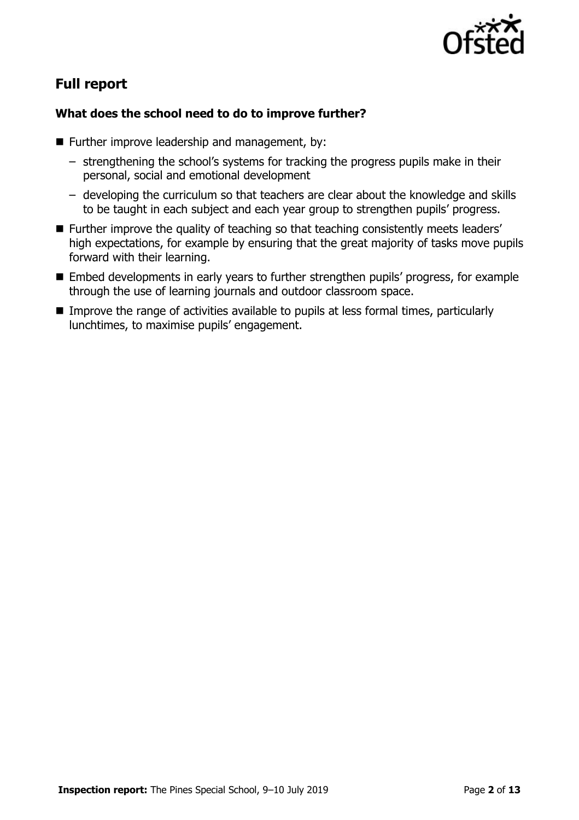

# **Full report**

### **What does the school need to do to improve further?**

- **Further improve leadership and management, by:** 
	- strengthening the school's systems for tracking the progress pupils make in their personal, social and emotional development
	- developing the curriculum so that teachers are clear about the knowledge and skills to be taught in each subject and each year group to strengthen pupils' progress.
- Further improve the quality of teaching so that teaching consistently meets leaders' high expectations, for example by ensuring that the great majority of tasks move pupils forward with their learning.
- Embed developments in early years to further strengthen pupils' progress, for example through the use of learning journals and outdoor classroom space.
- Improve the range of activities available to pupils at less formal times, particularly lunchtimes, to maximise pupils' engagement.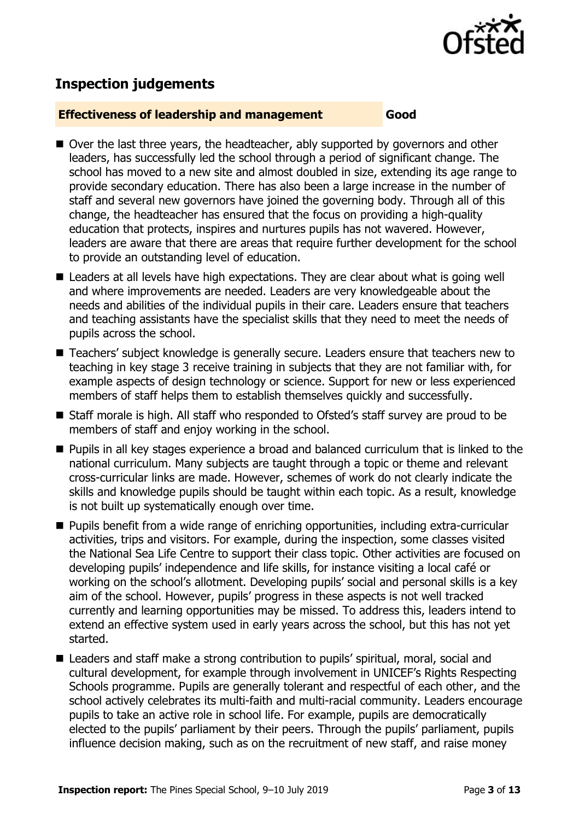

# **Inspection judgements**

#### **Effectiveness of leadership and management Good**

- Over the last three years, the headteacher, ably supported by governors and other leaders, has successfully led the school through a period of significant change. The school has moved to a new site and almost doubled in size, extending its age range to provide secondary education. There has also been a large increase in the number of staff and several new governors have joined the governing body. Through all of this change, the headteacher has ensured that the focus on providing a high-quality education that protects, inspires and nurtures pupils has not wavered. However, leaders are aware that there are areas that require further development for the school to provide an outstanding level of education.
- Leaders at all levels have high expectations. They are clear about what is going well and where improvements are needed. Leaders are very knowledgeable about the needs and abilities of the individual pupils in their care. Leaders ensure that teachers and teaching assistants have the specialist skills that they need to meet the needs of pupils across the school.
- Teachers' subject knowledge is generally secure. Leaders ensure that teachers new to teaching in key stage 3 receive training in subjects that they are not familiar with, for example aspects of design technology or science. Support for new or less experienced members of staff helps them to establish themselves quickly and successfully.
- Staff morale is high. All staff who responded to Ofsted's staff survey are proud to be members of staff and enjoy working in the school.
- **Pupils in all key stages experience a broad and balanced curriculum that is linked to the** national curriculum. Many subjects are taught through a topic or theme and relevant cross-curricular links are made. However, schemes of work do not clearly indicate the skills and knowledge pupils should be taught within each topic. As a result, knowledge is not built up systematically enough over time.
- Pupils benefit from a wide range of enriching opportunities, including extra-curricular activities, trips and visitors. For example, during the inspection, some classes visited the National Sea Life Centre to support their class topic. Other activities are focused on developing pupils' independence and life skills, for instance visiting a local café or working on the school's allotment. Developing pupils' social and personal skills is a key aim of the school. However, pupils' progress in these aspects is not well tracked currently and learning opportunities may be missed. To address this, leaders intend to extend an effective system used in early years across the school, but this has not yet started.
- Leaders and staff make a strong contribution to pupils' spiritual, moral, social and cultural development, for example through involvement in UNICEF's Rights Respecting Schools programme. Pupils are generally tolerant and respectful of each other, and the school actively celebrates its multi-faith and multi-racial community. Leaders encourage pupils to take an active role in school life. For example, pupils are democratically elected to the pupils' parliament by their peers. Through the pupils' parliament, pupils influence decision making, such as on the recruitment of new staff, and raise money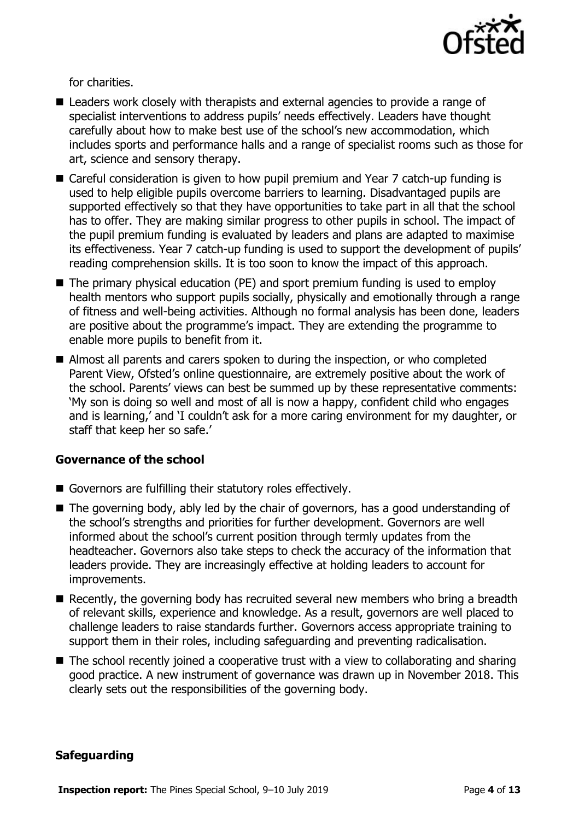

for charities.

- Leaders work closely with therapists and external agencies to provide a range of specialist interventions to address pupils' needs effectively. Leaders have thought carefully about how to make best use of the school's new accommodation, which includes sports and performance halls and a range of specialist rooms such as those for art, science and sensory therapy.
- Careful consideration is given to how pupil premium and Year 7 catch-up funding is used to help eligible pupils overcome barriers to learning. Disadvantaged pupils are supported effectively so that they have opportunities to take part in all that the school has to offer. They are making similar progress to other pupils in school. The impact of the pupil premium funding is evaluated by leaders and plans are adapted to maximise its effectiveness. Year 7 catch-up funding is used to support the development of pupils' reading comprehension skills. It is too soon to know the impact of this approach.
- The primary physical education (PE) and sport premium funding is used to employ health mentors who support pupils socially, physically and emotionally through a range of fitness and well-being activities. Although no formal analysis has been done, leaders are positive about the programme's impact. They are extending the programme to enable more pupils to benefit from it.
- Almost all parents and carers spoken to during the inspection, or who completed Parent View, Ofsted's online questionnaire, are extremely positive about the work of the school. Parents' views can best be summed up by these representative comments: 'My son is doing so well and most of all is now a happy, confident child who engages and is learning,' and 'I couldn't ask for a more caring environment for my daughter, or staff that keep her so safe.'

#### **Governance of the school**

- Governors are fulfilling their statutory roles effectively.
- The governing body, ably led by the chair of governors, has a good understanding of the school's strengths and priorities for further development. Governors are well informed about the school's current position through termly updates from the headteacher. Governors also take steps to check the accuracy of the information that leaders provide. They are increasingly effective at holding leaders to account for improvements.
- Recently, the governing body has recruited several new members who bring a breadth of relevant skills, experience and knowledge. As a result, governors are well placed to challenge leaders to raise standards further. Governors access appropriate training to support them in their roles, including safeguarding and preventing radicalisation.
- The school recently joined a cooperative trust with a view to collaborating and sharing good practice. A new instrument of governance was drawn up in November 2018. This clearly sets out the responsibilities of the governing body.

#### **Safeguarding**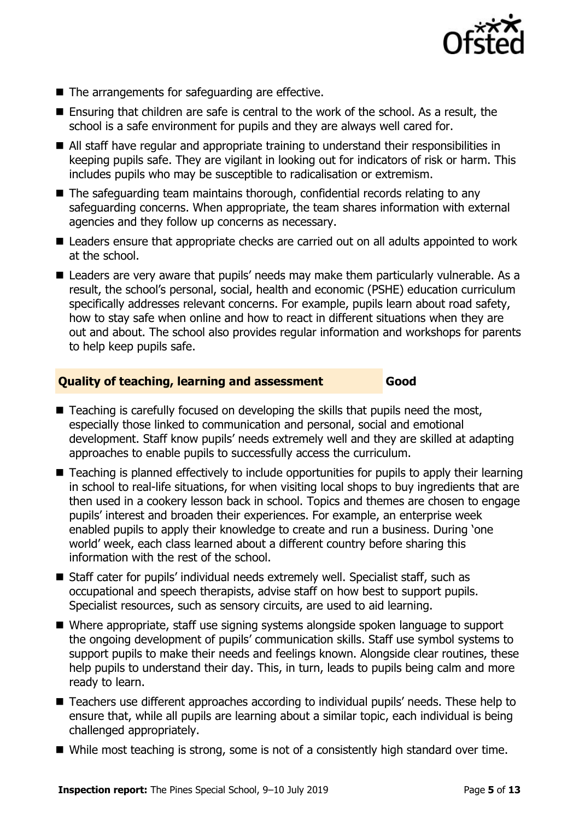

- The arrangements for safeguarding are effective.
- Ensuring that children are safe is central to the work of the school. As a result, the school is a safe environment for pupils and they are always well cared for.
- All staff have regular and appropriate training to understand their responsibilities in keeping pupils safe. They are vigilant in looking out for indicators of risk or harm. This includes pupils who may be susceptible to radicalisation or extremism.
- The safeguarding team maintains thorough, confidential records relating to any safeguarding concerns. When appropriate, the team shares information with external agencies and they follow up concerns as necessary.
- Leaders ensure that appropriate checks are carried out on all adults appointed to work at the school.
- Leaders are very aware that pupils' needs may make them particularly vulnerable. As a result, the school's personal, social, health and economic (PSHE) education curriculum specifically addresses relevant concerns. For example, pupils learn about road safety, how to stay safe when online and how to react in different situations when they are out and about. The school also provides regular information and workshops for parents to help keep pupils safe.

#### **Quality of teaching, learning and assessment Good**

- Teaching is carefully focused on developing the skills that pupils need the most, especially those linked to communication and personal, social and emotional development. Staff know pupils' needs extremely well and they are skilled at adapting approaches to enable pupils to successfully access the curriculum.
- Teaching is planned effectively to include opportunities for pupils to apply their learning in school to real-life situations, for when visiting local shops to buy ingredients that are then used in a cookery lesson back in school. Topics and themes are chosen to engage pupils' interest and broaden their experiences. For example, an enterprise week enabled pupils to apply their knowledge to create and run a business. During 'one world' week, each class learned about a different country before sharing this information with the rest of the school.
- Staff cater for pupils' individual needs extremely well. Specialist staff, such as occupational and speech therapists, advise staff on how best to support pupils. Specialist resources, such as sensory circuits, are used to aid learning.
- Where appropriate, staff use signing systems alongside spoken language to support the ongoing development of pupils' communication skills. Staff use symbol systems to support pupils to make their needs and feelings known. Alongside clear routines, these help pupils to understand their day. This, in turn, leads to pupils being calm and more ready to learn.
- Teachers use different approaches according to individual pupils' needs. These help to ensure that, while all pupils are learning about a similar topic, each individual is being challenged appropriately.
- While most teaching is strong, some is not of a consistently high standard over time.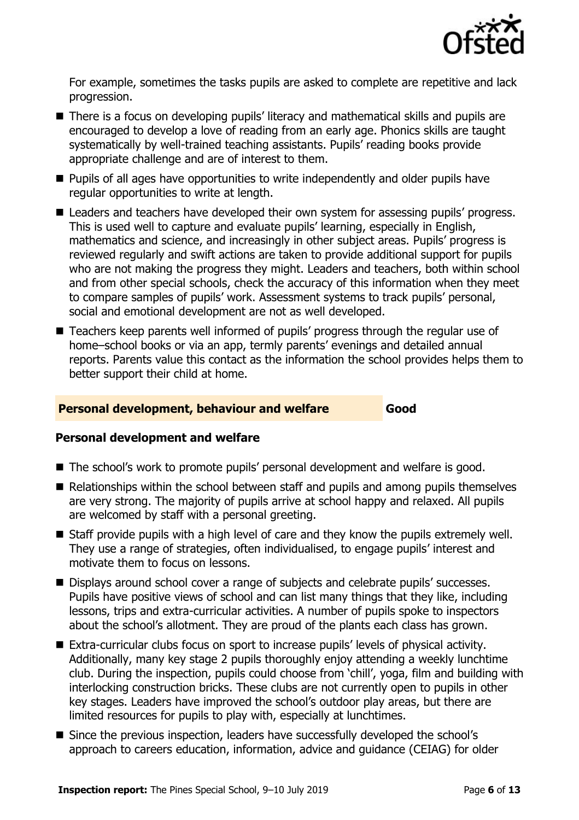

For example, sometimes the tasks pupils are asked to complete are repetitive and lack progression.

- There is a focus on developing pupils' literacy and mathematical skills and pupils are encouraged to develop a love of reading from an early age. Phonics skills are taught systematically by well-trained teaching assistants. Pupils' reading books provide appropriate challenge and are of interest to them.
- **Pupils of all ages have opportunities to write independently and older pupils have** regular opportunities to write at length.
- Leaders and teachers have developed their own system for assessing pupils' progress. This is used well to capture and evaluate pupils' learning, especially in English, mathematics and science, and increasingly in other subject areas. Pupils' progress is reviewed regularly and swift actions are taken to provide additional support for pupils who are not making the progress they might. Leaders and teachers, both within school and from other special schools, check the accuracy of this information when they meet to compare samples of pupils' work. Assessment systems to track pupils' personal, social and emotional development are not as well developed.
- Teachers keep parents well informed of pupils' progress through the regular use of home–school books or via an app, termly parents' evenings and detailed annual reports. Parents value this contact as the information the school provides helps them to better support their child at home.

#### **Personal development, behaviour and welfare Good**

#### **Personal development and welfare**

- The school's work to promote pupils' personal development and welfare is good.
- Relationships within the school between staff and pupils and among pupils themselves are very strong. The majority of pupils arrive at school happy and relaxed. All pupils are welcomed by staff with a personal greeting.
- Staff provide pupils with a high level of care and they know the pupils extremely well. They use a range of strategies, often individualised, to engage pupils' interest and motivate them to focus on lessons.
- Displays around school cover a range of subjects and celebrate pupils' successes. Pupils have positive views of school and can list many things that they like, including lessons, trips and extra-curricular activities. A number of pupils spoke to inspectors about the school's allotment. They are proud of the plants each class has grown.
- Extra-curricular clubs focus on sport to increase pupils' levels of physical activity. Additionally, many key stage 2 pupils thoroughly enjoy attending a weekly lunchtime club. During the inspection, pupils could choose from 'chill', yoga, film and building with interlocking construction bricks. These clubs are not currently open to pupils in other key stages. Leaders have improved the school's outdoor play areas, but there are limited resources for pupils to play with, especially at lunchtimes.
- Since the previous inspection, leaders have successfully developed the school's approach to careers education, information, advice and guidance (CEIAG) for older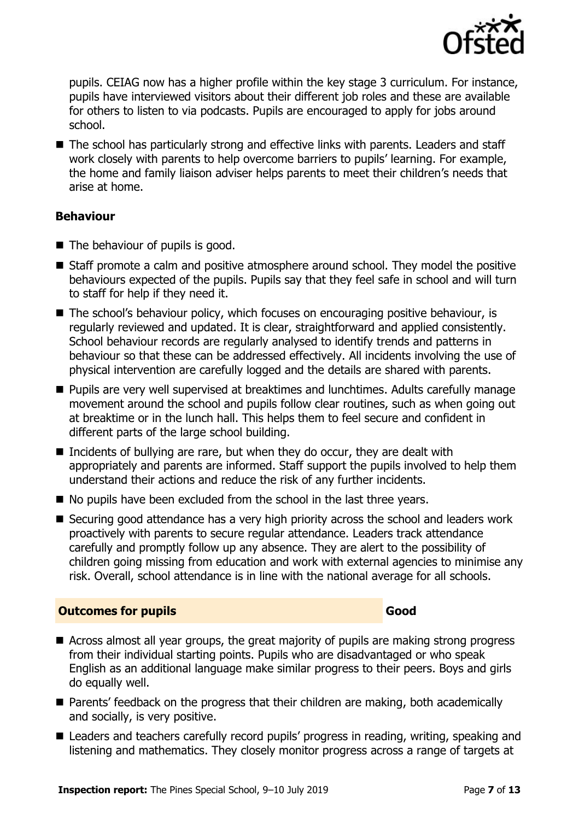

pupils. CEIAG now has a higher profile within the key stage 3 curriculum. For instance, pupils have interviewed visitors about their different job roles and these are available for others to listen to via podcasts. Pupils are encouraged to apply for jobs around school.

■ The school has particularly strong and effective links with parents. Leaders and staff work closely with parents to help overcome barriers to pupils' learning. For example, the home and family liaison adviser helps parents to meet their children's needs that arise at home.

### **Behaviour**

- $\blacksquare$  The behaviour of pupils is good.
- Staff promote a calm and positive atmosphere around school. They model the positive behaviours expected of the pupils. Pupils say that they feel safe in school and will turn to staff for help if they need it.
- The school's behaviour policy, which focuses on encouraging positive behaviour, is regularly reviewed and updated. It is clear, straightforward and applied consistently. School behaviour records are regularly analysed to identify trends and patterns in behaviour so that these can be addressed effectively. All incidents involving the use of physical intervention are carefully logged and the details are shared with parents.
- **Pupils are very well supervised at breaktimes and lunchtimes. Adults carefully manage** movement around the school and pupils follow clear routines, such as when going out at breaktime or in the lunch hall. This helps them to feel secure and confident in different parts of the large school building.
- Incidents of bullying are rare, but when they do occur, they are dealt with appropriately and parents are informed. Staff support the pupils involved to help them understand their actions and reduce the risk of any further incidents.
- No pupils have been excluded from the school in the last three years.
- Securing good attendance has a very high priority across the school and leaders work proactively with parents to secure regular attendance. Leaders track attendance carefully and promptly follow up any absence. They are alert to the possibility of children going missing from education and work with external agencies to minimise any risk. Overall, school attendance is in line with the national average for all schools.

#### **Outcomes for pupils Good Good**

- Across almost all year groups, the great majority of pupils are making strong progress from their individual starting points. Pupils who are disadvantaged or who speak English as an additional language make similar progress to their peers. Boys and girls do equally well.
- Parents' feedback on the progress that their children are making, both academically and socially, is very positive.
- Leaders and teachers carefully record pupils' progress in reading, writing, speaking and listening and mathematics. They closely monitor progress across a range of targets at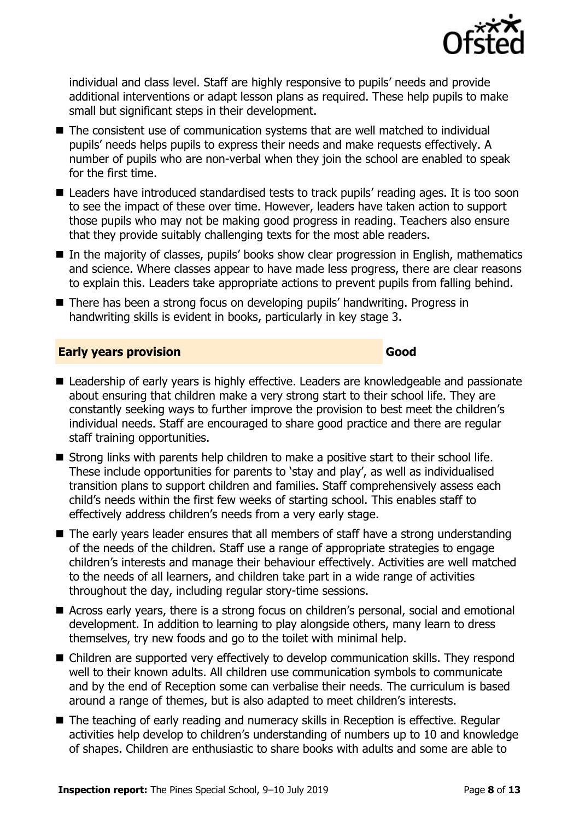

individual and class level. Staff are highly responsive to pupils' needs and provide additional interventions or adapt lesson plans as required. These help pupils to make small but significant steps in their development.

- The consistent use of communication systems that are well matched to individual pupils' needs helps pupils to express their needs and make requests effectively. A number of pupils who are non-verbal when they join the school are enabled to speak for the first time.
- Leaders have introduced standardised tests to track pupils' reading ages. It is too soon to see the impact of these over time. However, leaders have taken action to support those pupils who may not be making good progress in reading. Teachers also ensure that they provide suitably challenging texts for the most able readers.
- In the majority of classes, pupils' books show clear progression in English, mathematics and science. Where classes appear to have made less progress, there are clear reasons to explain this. Leaders take appropriate actions to prevent pupils from falling behind.
- There has been a strong focus on developing pupils' handwriting. Progress in handwriting skills is evident in books, particularly in key stage 3.

#### **Early years provision Good Good**

- Leadership of early years is highly effective. Leaders are knowledgeable and passionate about ensuring that children make a very strong start to their school life. They are constantly seeking ways to further improve the provision to best meet the children's individual needs. Staff are encouraged to share good practice and there are regular staff training opportunities.
- Strong links with parents help children to make a positive start to their school life. These include opportunities for parents to 'stay and play', as well as individualised transition plans to support children and families. Staff comprehensively assess each child's needs within the first few weeks of starting school. This enables staff to effectively address children's needs from a very early stage.
- The early years leader ensures that all members of staff have a strong understanding of the needs of the children. Staff use a range of appropriate strategies to engage children's interests and manage their behaviour effectively. Activities are well matched to the needs of all learners, and children take part in a wide range of activities throughout the day, including regular story-time sessions.
- Across early years, there is a strong focus on children's personal, social and emotional development. In addition to learning to play alongside others, many learn to dress themselves, try new foods and go to the toilet with minimal help.
- Children are supported very effectively to develop communication skills. They respond well to their known adults. All children use communication symbols to communicate and by the end of Reception some can verbalise their needs. The curriculum is based around a range of themes, but is also adapted to meet children's interests.
- The teaching of early reading and numeracy skills in Reception is effective. Regular activities help develop to children's understanding of numbers up to 10 and knowledge of shapes. Children are enthusiastic to share books with adults and some are able to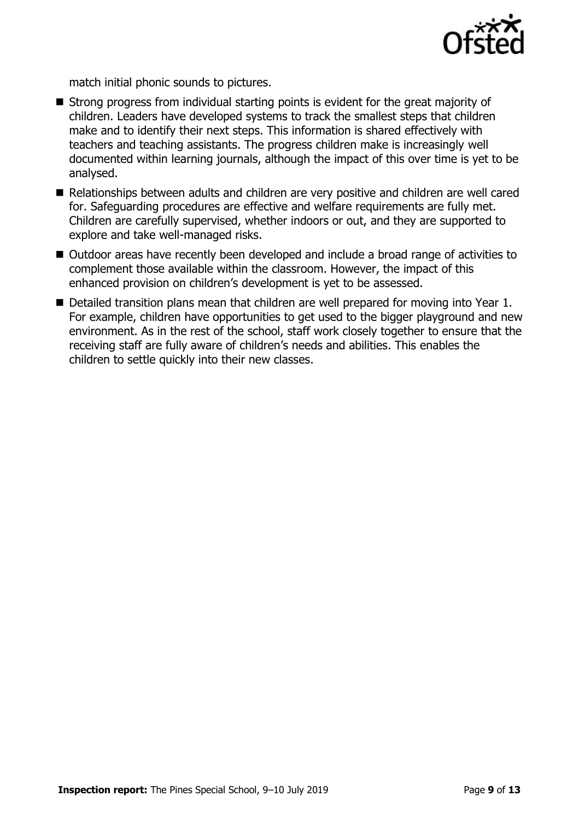

match initial phonic sounds to pictures.

- Strong progress from individual starting points is evident for the great majority of children. Leaders have developed systems to track the smallest steps that children make and to identify their next steps. This information is shared effectively with teachers and teaching assistants. The progress children make is increasingly well documented within learning journals, although the impact of this over time is yet to be analysed.
- Relationships between adults and children are very positive and children are well cared for. Safeguarding procedures are effective and welfare requirements are fully met. Children are carefully supervised, whether indoors or out, and they are supported to explore and take well-managed risks.
- Outdoor areas have recently been developed and include a broad range of activities to complement those available within the classroom. However, the impact of this enhanced provision on children's development is yet to be assessed.
- Detailed transition plans mean that children are well prepared for moving into Year 1. For example, children have opportunities to get used to the bigger playground and new environment. As in the rest of the school, staff work closely together to ensure that the receiving staff are fully aware of children's needs and abilities. This enables the children to settle quickly into their new classes.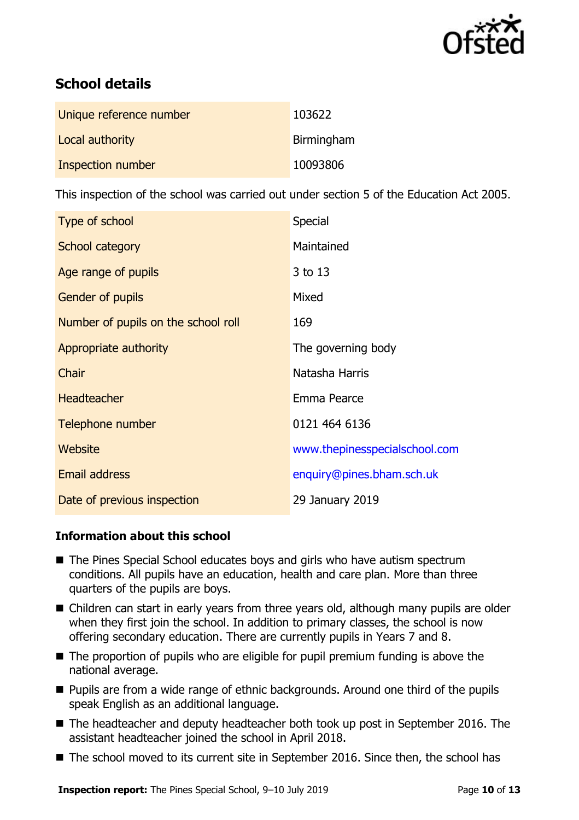

# **School details**

| Unique reference number | 103622     |
|-------------------------|------------|
| Local authority         | Birmingham |
| Inspection number       | 10093806   |

This inspection of the school was carried out under section 5 of the Education Act 2005.

| Type of school                      | <b>Special</b>                |
|-------------------------------------|-------------------------------|
| School category                     | Maintained                    |
| Age range of pupils                 | 3 to 13                       |
| <b>Gender of pupils</b>             | Mixed                         |
| Number of pupils on the school roll | 169                           |
| Appropriate authority               | The governing body            |
| Chair                               | Natasha Harris                |
| <b>Headteacher</b>                  | Emma Pearce                   |
| Telephone number                    | 0121 464 6136                 |
| Website                             | www.thepinesspecialschool.com |
| <b>Email address</b>                | enquiry@pines.bham.sch.uk     |
| Date of previous inspection         | 29 January 2019               |

#### **Information about this school**

- The Pines Special School educates boys and girls who have autism spectrum conditions. All pupils have an education, health and care plan. More than three quarters of the pupils are boys.
- Children can start in early years from three years old, although many pupils are older when they first join the school. In addition to primary classes, the school is now offering secondary education. There are currently pupils in Years 7 and 8.
- $\blacksquare$  The proportion of pupils who are eligible for pupil premium funding is above the national average.
- **Pupils are from a wide range of ethnic backgrounds. Around one third of the pupils** speak English as an additional language.
- The headteacher and deputy headteacher both took up post in September 2016. The assistant headteacher joined the school in April 2018.
- The school moved to its current site in September 2016. Since then, the school has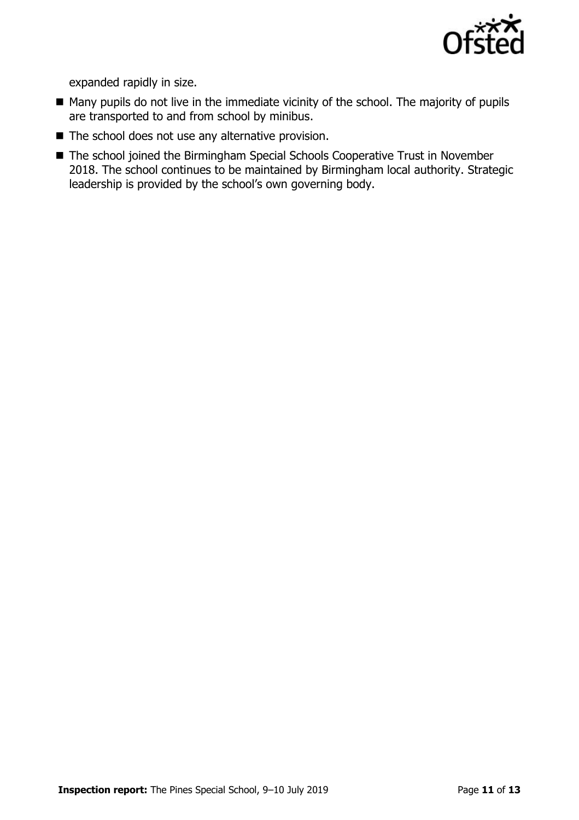

expanded rapidly in size.

- Many pupils do not live in the immediate vicinity of the school. The majority of pupils are transported to and from school by minibus.
- $\blacksquare$  The school does not use any alternative provision.
- The school joined the Birmingham Special Schools Cooperative Trust in November 2018. The school continues to be maintained by Birmingham local authority. Strategic leadership is provided by the school's own governing body.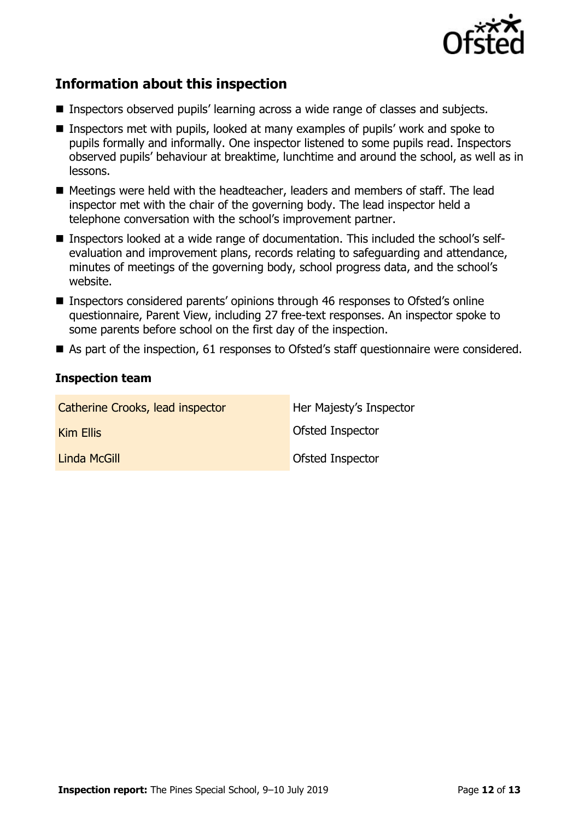

# **Information about this inspection**

- Inspectors observed pupils' learning across a wide range of classes and subjects.
- Inspectors met with pupils, looked at many examples of pupils' work and spoke to pupils formally and informally. One inspector listened to some pupils read. Inspectors observed pupils' behaviour at breaktime, lunchtime and around the school, as well as in lessons.
- Meetings were held with the headteacher, leaders and members of staff. The lead inspector met with the chair of the governing body. The lead inspector held a telephone conversation with the school's improvement partner.
- Inspectors looked at a wide range of documentation. This included the school's selfevaluation and improvement plans, records relating to safeguarding and attendance, minutes of meetings of the governing body, school progress data, and the school's website.
- Inspectors considered parents' opinions through 46 responses to Ofsted's online questionnaire, Parent View, including 27 free-text responses. An inspector spoke to some parents before school on the first day of the inspection.
- As part of the inspection, 61 responses to Ofsted's staff questionnaire were considered.

#### **Inspection team**

| Catherine Crooks, lead inspector | Her Majesty's Inspector |
|----------------------------------|-------------------------|
| <b>Kim Ellis</b>                 | <b>Ofsted Inspector</b> |
| Linda McGill                     | Ofsted Inspector        |